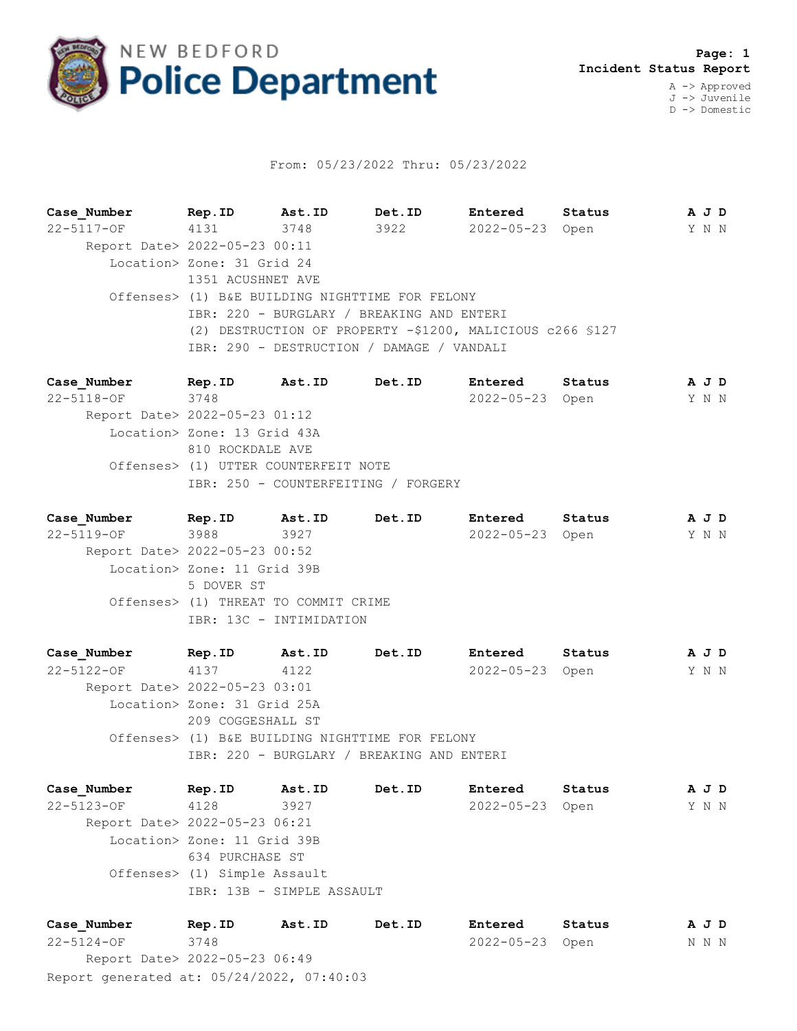

## From: 05/23/2022 Thru: 05/23/2022

**Case\_Number Rep.ID Ast.ID Det.ID Entered Status A J D** 22-5117-OF 4131 3748 3922 2022-05-23 Open Y N N Report Date> 2022-05-23 00:11 Location> Zone: 31 Grid 24 1351 ACUSHNET AVE Offenses> (1) B&E BUILDING NIGHTTIME FOR FELONY IBR: 220 - BURGLARY / BREAKING AND ENTERI (2) DESTRUCTION OF PROPERTY -\$1200, MALICIOUS c266 §127 IBR: 290 - DESTRUCTION / DAMAGE / VANDALI

**Case\_Number Rep.ID Ast.ID Det.ID Entered Status A J D** 22-5118-OF 3748 2022-05-23 Open Y N N Report Date> 2022-05-23 01:12 Location> Zone: 13 Grid 43A 810 ROCKDALE AVE Offenses> (1) UTTER COUNTERFEIT NOTE IBR: 250 - COUNTERFEITING / FORGERY

**Case\_Number Rep.ID Ast.ID Det.ID Entered Status A J D** 22-5119-OF 3988 3927 2022-05-23 Open Y N N Report Date> 2022-05-23 00:52 Location> Zone: 11 Grid 39B 5 DOVER ST Offenses> (1) THREAT TO COMMIT CRIME IBR: 13C - INTIMIDATION

**Case\_Number Rep.ID Ast.ID Det.ID Entered Status A J D** 22-5122-OF 4137 4122 2022-05-23 Open Y N N Report Date> 2022-05-23 03:01 Location> Zone: 31 Grid 25A 209 COGGESHALL ST Offenses> (1) B&E BUILDING NIGHTTIME FOR FELONY IBR: 220 - BURGLARY / BREAKING AND ENTERI

**Case\_Number Rep.ID Ast.ID Det.ID Entered Status A J D** 22-5123-OF 4128 3927 2022-05-23 Open Y N N Report Date> 2022-05-23 06:21 Location> Zone: 11 Grid 39B 634 PURCHASE ST Offenses> (1) Simple Assault IBR: 13B - SIMPLE ASSAULT

Report generated at: 05/24/2022, 07:40:03 **Case\_Number Rep.ID Ast.ID Det.ID Entered Status A J D** 22-5124-OF 3748 2022-05-23 Open N N N Report Date> 2022-05-23 06:49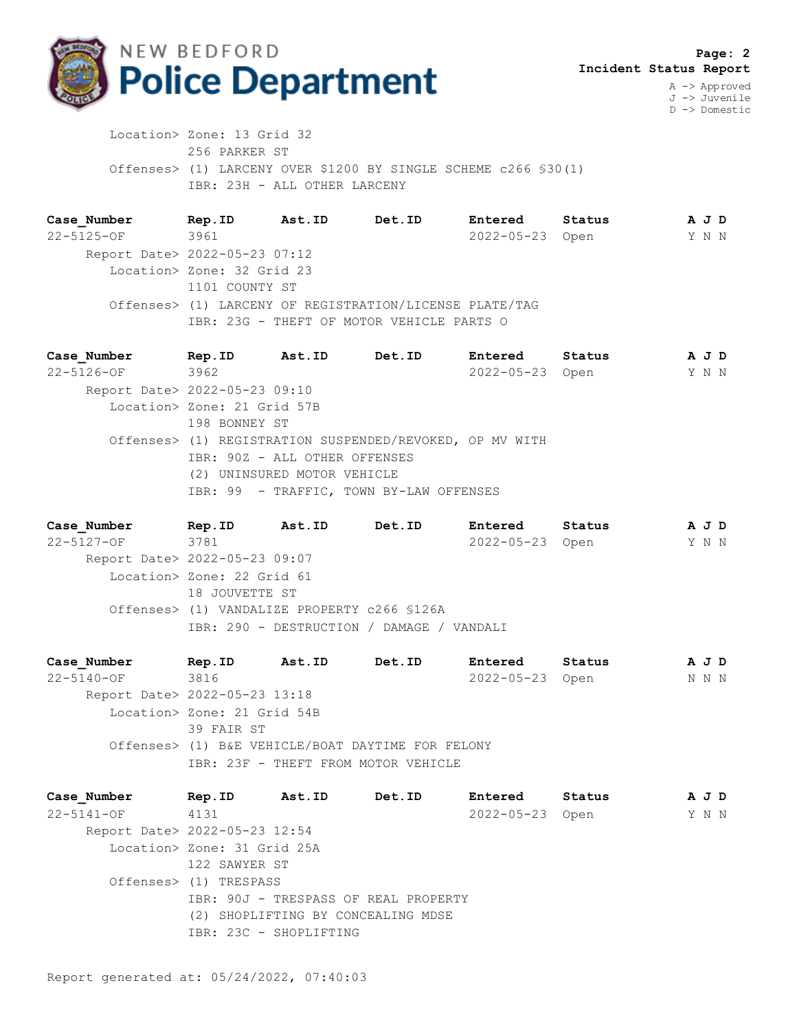

J -> Juvenile D -> Domestic

 Location> Zone: 13 Grid 32 256 PARKER ST Offenses> (1) LARCENY OVER \$1200 BY SINGLE SCHEME c266 §30(1) IBR: 23H - ALL OTHER LARCENY

**Case\_Number Rep.ID Ast.ID Det.ID Entered Status A J D** 22-5125-OF 3961 2022-05-23 Open Y N N Report Date> 2022-05-23 07:12 Location> Zone: 32 Grid 23 1101 COUNTY ST Offenses> (1) LARCENY OF REGISTRATION/LICENSE PLATE/TAG IBR: 23G - THEFT OF MOTOR VEHICLE PARTS O

**Case\_Number Rep.ID Ast.ID Det.ID Entered Status A J D** 22-5126-OF 3962 2022-05-23 Open Y N N Report Date> 2022-05-23 09:10 Location> Zone: 21 Grid 57B 198 BONNEY ST Offenses> (1) REGISTRATION SUSPENDED/REVOKED, OP MV WITH IBR: 90Z - ALL OTHER OFFENSES (2) UNINSURED MOTOR VEHICLE IBR: 99 - TRAFFIC, TOWN BY-LAW OFFENSES

**Case\_Number Rep.ID Ast.ID Det.ID Entered Status A J D** 22-5127-OF 3781 2022-05-23 Open Y N N Report Date> 2022-05-23 09:07 Location> Zone: 22 Grid 61 18 JOUVETTE ST Offenses> (1) VANDALIZE PROPERTY c266 §126A IBR: 290 - DESTRUCTION / DAMAGE / VANDALI

**Case\_Number Rep.ID Ast.ID Det.ID Entered Status A J D** 22-5140-OF 3816 2022-05-23 Open N N N Report Date> 2022-05-23 13:18 Location> Zone: 21 Grid 54B 39 FAIR ST Offenses> (1) B&E VEHICLE/BOAT DAYTIME FOR FELONY IBR: 23F - THEFT FROM MOTOR VEHICLE

**Case\_Number Rep.ID Ast.ID Det.ID Entered Status A J D** 22-5141-OF 4131 2022-05-23 Open Y N N Report Date> 2022-05-23 12:54 Location> Zone: 31 Grid 25A 122 SAWYER ST Offenses> (1) TRESPASS IBR: 90J - TRESPASS OF REAL PROPERTY (2) SHOPLIFTING BY CONCEALING MDSE IBR: 23C - SHOPLIFTING